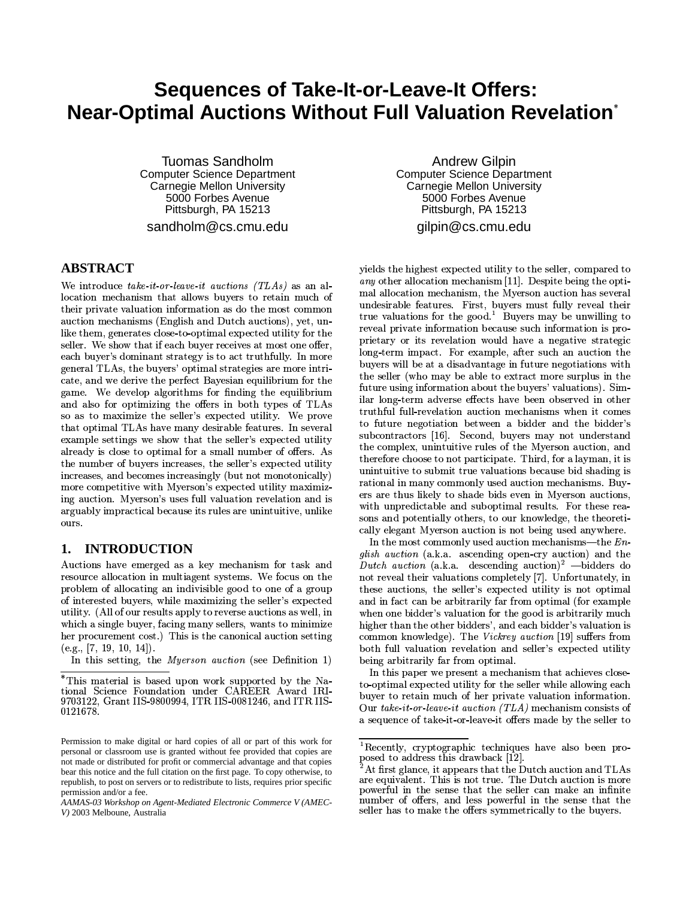# **Sequences of Take-It-or-Leave-It Offers: Near-Optimal Auctions Without Full Valuation Revelation**

Tuomas Sandholm Computer Science Department Carnegie Mellon University 5000 Forbes Avenue Pittsburgh, PA 15213

sandholm@cs.cmu.edu

# **ABSTRACT**

We introduce take-it-or-leave-it auctions  $(TLAS)$  as an al- $\blacksquare$  . A  $\blacksquare$  . A  $\blacksquare$  . A  $\blacksquare$  . A  $\blacksquare$  . A  $\blacksquare$  $\blacksquare$  . To a set of the contraction of the contraction of the contraction of the contraction of the contraction of the contraction of the contraction of the contraction of the contraction of the contraction of the contra  $\overline{\phantom{a}}$  . The contract of the contract of the contract of the contract of the contract of the contract of the contract of the contract of the contract of the contract of the contract of the contract of the contract of =@@c-d
E+-CLb.\_B-+- 29.
-:^=@%:-> 
%>BS
C9.=+-Ne+Sf--Ag+
@=@@#MgR!% ^
E+-:-==@- Ahi-d:EAI<
EF9^@RF-A9%2EOKM - 6 --@U-:j9.jC(%:X^B-k%lm- Ab  $\mathbf{P} = \mathbf{P} \mathbf{P} = \mathbf{P} \mathbf{P} \mathbf{P}$ \_%--N 29%=msYtvuT:b 
E-TKM - :o %S+
@C9%=+:X 29.
-\_%-:J9. -7C(. -J ?> 9.
-Bb+9%OId-w+- @U-J
E-TSf- R!-Jxd9M -:9.n-Ay +=@@K+ @+CzRV% d
E+-\_B9%C(-Bh{|-L-U-=@%S}9%=@\_%% ?
EC(:(R!. ~FF@\_
E-L-Ay +=@@K+ 9.F}9.=@:|R!% nBS
@C(+\_
E-.lm- :H{Kf%
EQ#MSf-:%RsYtvuT:  $\sim$  0.000  $\sim$  0.000  $\sim$  0.000  $\sim$  0.000  $\sim$  0.000  $\sim$  0.000  $\sim$  0.000  $\sim$  0.000  $\sim$  0.000  $\sim$  0.000  $\sim$  0.000  $\sim$  0.000  $\sim$  0.000  $\sim$  0.000  $\sim$  0.000  $\sim$  0.000  $\sim$  0.000  $\sim$  0.000  $\sim$  0.000  $\sim$  0.000 E9.kBS+
@C9.=fsYtvuT:kEF9AU-JC9.MW+-:@ 29.K=@-wRV-A9. -:hjqr(:-UB- 29%= -Ne9.C(S=@-W:-N
+\_B:Id-W:EAI
EF9.
E+-W:-=@=@- Ao :-eSf--A+
@=@?rM 9.=? -A9BM@:w=@%:-(%S+
@C9%=mR!. 9O:C9%=@=+CWKf- J.Rj%lm- :hJuT: E+-CWKf-N Y%RiK++M -N :Y+ -A9.:-:bF
E-7:-=@=-N Ao :w-eSf--AH+
@=@?rM  $\blacksquare$  . And the set of the set of the set of the set of the set of the set of the set of the set of the set of the set of the set of the set of the set of the set of the set of the set of the set of the set of the set of C(. -7%C(Sf-?
@U-TIJ?
EnnM - :%o :Y-eSf--@=?#MC9.e@C(N>  $\blacksquare$  :  $\blacksquare$  :  $\blacksquare$  :  $\blacksquare$  :  $\blacksquare$  :  $\blacksquare$  :  $\blacksquare$  :  $\blacksquare$  :  $\blacksquare$  :  $\blacksquare$  :  $\blacksquare$  :  $\blacksquare$  :  $\blacksquare$  :  $\blacksquare$  :  $\blacksquare$  :  $\blacksquare$  :  $\blacksquare$  :  $\blacksquare$  :  $\blacksquare$  :  $\blacksquare$  :  $\blacksquare$  :  $\blacksquare$  :  $\blacksquare$  :  $\blacksquare$  :  $\blacksquare$ 9 \_B9%K=?M@C(S+ 29.
@A9%=Kf-A9.:-d?
:6 +=-:^9. -d+@ 
?
@U-Bb+=@cB-

# **1. INTRODUCTION**

 $\blacksquare$  $\blacksquare$  . The state of the state of the state of the state of the state of the state of the state of the state of the state of the state of the state of the state of the state of the state of the state of the state of the S BK+=-C.Rk9.=@= 9.
@\_Z9%@FU@:@K=@-\_B L
B-g.Rk9(\_. BS .R^@
-N -:X
-AnK++M -N :bIJE+@=-gC9e+@C(@@\_
E-\:-==@- Ao :T-eSf-- $\blacksquare$ : IJE+@NE9\:@\_%=@-TK++M -N AbBR,9.@\_C9.M:-=@=@- :b Id9% 
:j
C(@+C(@- $\blacksquare$  . The state of the state of the state of the state of the state of the state of the state of the state of the state of the state of the state of the state of the state of the state of the state of the state of the [,-%h \_h@b6bAbAb%VaNh

Andrew Gilpin Computer Science Department Carnegie Mellon University 5000 Forbes Avenue Pittsburgh, PA 15213 gilpin@cs.cmu.edu

reveal private information because such information is pro- $_{\rm long-term}$  impact – For example – after such an auction th the seller (who may be able to extract more surplus in the  $\frac{1}{2}$  $\mathbf{r}$  future using information about the buyers' valuations). Similarly  ${\tt truthfull}$  full-revelation auction mechanisms when it comes with unpredictable and suboptimal results. For these rea- $\blacksquare$  . The state of the state of the state of the state of the state of the state of the state of the state of the state of the state of the state of the state of the state of the state of the state of the state of the  $\blacksquare$  . The contract of the contract of the contract of the contract of the contract of the contract of the contract of the contract of the contract of the contract of the contract of the contract of the contract of the  $\mathcal{A} = \mathcal{A}$ +-:? 29.K=@-nRV-A9. -:h6? :XAbkK++M -N :;C;:XR!=@=?M -U-9%=d
E-@  $\blacksquare$ : 19.  $\blacksquare$  . The set of the set of the set of the set of the set of the set of the set of the set of the set of the set of the set of the set of the set of the set of the set of the set of the set of the set of th the structure of the structure of the structure of the structure of the structure of the structure of the structure of the structure of the structure of the structure of the structure of the structure of the structure of the contract of the contract of the contract of the contract of the contract of the contract of the contract of the contract of the contract of the contract of the contract of the contract of the contract of the contract @=9. (=@B+\_%> 
- C§9B+UB- :-n-Nlm-:WE9AU-nKf--BK:-N U-A|@Q.
E- {RV+
+ -+-\_B.
9.
@B¨Kf-#Id--¨9}K- 9%
E-K- Ao :  $\mathbf{A}$  and  $\mathbf{A}$  and  $\mathbf{A}$  and  $\mathbf{A}$  and  $\mathbf{A}$  and  $\mathbf{A}$  and  $\mathbf{A}$  and  $\mathbf{A}$  and  $\mathbf{A}$  and  $\mathbf{A}$  and  $\mathbf{A}$  and  $\mathbf{A}$  and  $\mathbf{A}$  and  $\mathbf{A}$  and  $\mathbf{A}$  and  $\mathbf{A}$  and  $\mathbf{A}$  and E-g%C(S=@-embf+@ 
?
@U-\ =@-:w%R^
E-;nM - :%9%N
%b49.F  $\blacksquare$  $\sim$  -0. The contract of the contract of the contract of the contract of the contract of the contract of the contract of the contract of the contract of the contract of the contract of the contract of the contract of the  $\mathbb{R}^n$  and  $\mathbb{R}^n$  are the set of  $\mathbb{R}^n$  and  $\mathbb{R}^n$  are the set of  $\mathbb{R}^n$  and  $\mathbb{R}^n$  are the set of  $\mathbb{R}^n$  and  $\mathbb{R}^n$  are the set of  $\mathbb{R}^n$  and  $\mathbb{R}^n$  are the set of  $\mathbb{R}^n$  and - :9 -;
E:w=@cB-=?M
H:E9B-WK:7-U-@nM - :%9.
@B+:b  $\blacksquare$  . The state of the state of the state of the state of the state of the state of the state of the state of the state of the state of the state of the state of the state of the state of the state of the state of the  $\mathcal{M}$  , and  $\mathcal{M}$  , and  $\mathcal{M}$  , and  $\mathcal{M}$  , and  $\mathcal{M}$  , and  $\mathcal{M}$ 

.ka head and the second contract of the second contract of the second contract of the second contract of the second contract of the second contract of the second contract of the second contract of the second contract of th A 9%H@R,9.JA9%HKf-\9 K? 29. @=?MR,9 YRV BC²BS+
@C9.=i[!R!% d-e+9%C(S=@- E@\_%E- EF9%
E+-p.
E- vK- :o@bB9.F-A9.NEgK++- Ao :6U%9%=@F9
@Bg@:  $\blacksquare$  . The definition of the contract of the contract of the contract of the contract of the contract of the contract of the contract of the contract of the contract of the contract of the contract of the contract of th  $\mathbf{F}$  ,  $\mathbf{F}$  ,  $\mathbf{F}$  ,  $\mathbf{F}$  ,  $\mathbf{F}$  ,  $\mathbf{F}$  ,  $\mathbf{F}$  ,  $\mathbf{F}$  ,  $\mathbf{F}$  ,  $\mathbf{F}$  ,  $\mathbf{F}$  ,  $\mathbf{F}$  ,  $\mathbf{F}$  ,  $\mathbf{F}$  ,  $\mathbf{F}$  ,  $\mathbf{F}$  ,  $\mathbf{F}$  ,  $\mathbf{F}$  ,  $\mathbf{F}$  ,  $\mathbf{F}$  , ®)\*2.)\*,,"%-[ 9h cfh 9h¯-:-+@\_<9.
@BFa°Lª{K++- :Z+  $\pm$  . The state of the state of the state of the state of the state of the state of the state of the state of the state of the state of the state of the state of the state of the state of the state of the state of the st IJE-OB+-TK++-N Ao :jU%9%=@F9
%WR!. k
E+-Y\_B O@:k9 K? 29. @=?MOC;2E  $\mathcal{L} = \mathcal{L} = \mathcal{L} = \mathcal{L} = \mathcal{L} = \mathcal{L} = \mathcal{L} = \mathcal{L} = \mathcal{L} = \mathcal{L} = \mathcal{L} = \mathcal{L} = \mathcal{L} = \mathcal{L} = \mathcal{L} = \mathcal{L} = \mathcal{L} = \mathcal{L} = \mathcal{L} = \mathcal{L} = \mathcal{L} = \mathcal{L} = \mathcal{L} = \mathcal{L} = \mathcal{L} = \mathcal{L} = \mathcal{L} = \mathcal{L} = \mathcal{L} = \mathcal{L} = \mathcal{L} = \mathcal$ Kf%
E<R!+==JU%9%=@F9
@B{ -UB-=9.
@B{9%F<:-=@=@- Ao :n-eSf-N
-A<
@=?#M Kf-@\_O9. K? 29 =?MnR,9. JR¥ BCBS
C9.=,h

 $\mathcal{L}=\{z\in\mathbb{R}^N: |z|\leq 2\mathbb{Z}^N\}$ %>%S+
@C9%=+-eSf--AW
@=?#MWR!. k
E+-T:-==@- pIJE@=@-79.=@=AIJ@\_-A9.NE KM - \
H -29%@CW2E%RYE+- S U%9.
-WUB9.=9.
@B@+R!. C9.
@B4h Our *take-it-or-leave-it auction (TLA)* mechanism consists of 9O:-Ay --.Ri29%c->?>% >=@-A9AU->?T%lm- :TC9B-\K Mn
E+-:-=@=-N w


q#}
E@:Z:-N
+\_+bw
E-N\$N/N"%-%)+\*, "%-[,:--`7-~F+@
@%Aa

sdE@:(C9.
- 9.=T@:(K9%:-A<SfBId. c:SSf. -AKM
E+-Z79.> @%F9%=@--B+F9
@B+- duT7]j]^uTIY9 2q#wq> B%% % b+¡w 29.^qqX>#B¢%B%B%b qXsd<qq >#BB¢ £b 9%FgqXsd<qq > 0121678.

Permission to make digital or hard copies of all or part of this work for personal or classroom use is granted without fee provided that copies are not made or distributed for profit or commercial advantage and that copies bear this notice and the full citation on the first page. To copy otherwise, to republish, to post on servers or to redistribute to lists, requires prior specific permission and/or a fee.

*AAMAS-03 Workshop on Agent-Mediated Electronic Commerce V (AMEC-V)* 2003 Melboune, Australia

the contract of the contract of the contract of the contract of the contract of the contract of the contract of the state of the state of the state of the state of the state of the state of the state of the state of the state of the state of the state of the state of the state of the state of the state of the state of the state of t

 $\mathcal{D}$  is to the state  $\mathcal{D}$ en die eerste verwys van die stel van die stel van die stel van die stel van die stel van die stel van die stel van die stel van die stel van die stel van die stel van die stel van die stel van die stel van die stel van di SfAId- RV=J@<
E+-Z:-+:-n
E9.O
E+-Z:-=@=@- A9.QC9.c-Z9.Q@~F?
-C;Kf- (%Rg.lm- :bT9%{=@-::HSfIk- R!+=7@{
E+-:-:-L
E9.
E-:-=@=@- wEF9%:Y
OC9.c-w
E+-%lm- :J:XMC(C(- @A9.==?M(
W
E+-KM - :h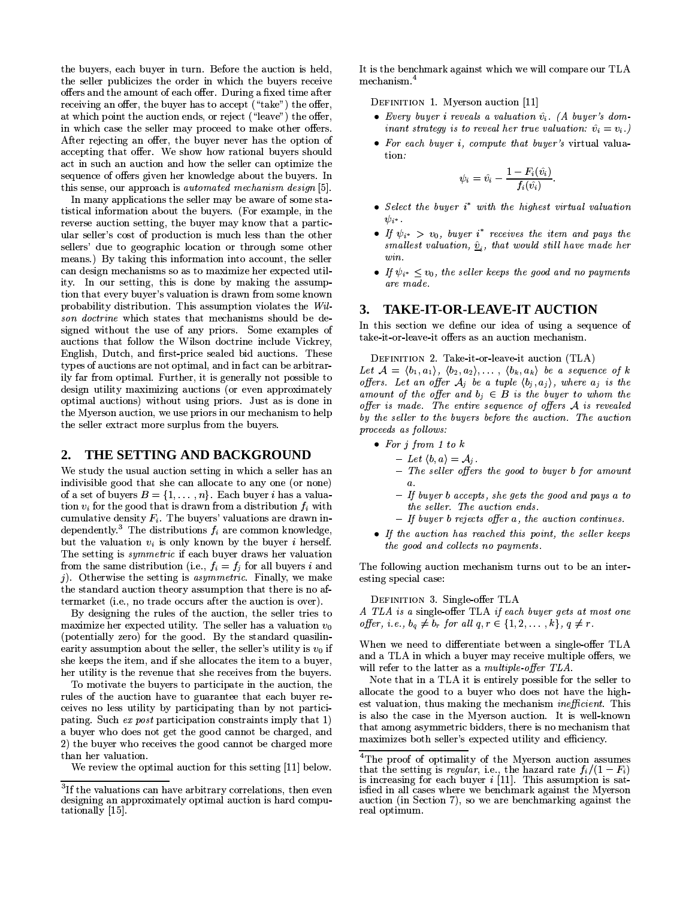E+-;K++M -N :bm-A9%2EK+M- \@
+ 4hxk-RV% -W
E+-W9.
@%@:\E+-=4b E+-n:-==@- S+K+=@@-:W
E-% 2- (@IJE@2E
E+-nK++M -N : --@U-.lm- :i9.F\
E-p9%C(% 6.R-A9.NE%lm-N Ah6`\ +\_T9J~+e+-7
C(-p9.R¥
- --@U+\_g9%;%lm- Ab%
E-dK++M - ^E9%:i
\9.-ST[#29%cB-- av
E-k%lm- Ab  $\blacksquare$  . The contract of the contract of the contract of the contract of the contract of the contract of the contract of the contract of the contract of the contract of the contract of the contract of the contract of the  $\blacksquare$  . The contract of the contract of the contract of the contract of the contract of the contract of the contract of the contract of the contract of the contract of the contract of the contract of the contract of the uJRV
- -r-@\_9.|%lm- Abv
E-(KM - g+-U- gE9%:g
E-(BS
@B|.R  $\alpha$  and  $\alpha$  are the set of the set of the set of the set of the set of the set of the set of the set of the set of the set of the set of the set of the set of the set of the set of the set of the set of the set of the s  $\mathcal{P} = \mathcal{P} = \mathcal{P} = \mathcal{P} = \mathcal{P} = \mathcal{P} = \mathcal{P} = \mathcal{P} = \mathcal{P} = \mathcal{P} = \mathcal{P} = \mathcal{P} = \mathcal{P} = \mathcal{P} = \mathcal{P} = \mathcal{P} = \mathcal{P} = \mathcal{P} = \mathcal{P} = \mathcal{P} = \mathcal{P} = \mathcal{P} = \mathcal{P} = \mathcal{P} = \mathcal{P} = \mathcal{P} = \mathcal{P} = \mathcal{P} = \mathcal{P} = \mathcal{P} = \mathcal{P} = \mathcal$ red and the state of the state of the state of the state of the state of the state of the state of the state of the state of the state of the state of the state of the state of the state of the state of the state of the st  $\mathcal{A}$  . The state  $\mathcal{A}$  is the state of  $\mathcal{A}$  . The state  $\mathcal{A}$ 

 $\blacksquare$  . The observed in the contract of the contract of the contract of the contract of the contract of the contract of the contract of the contract of the contract of the contract of the contract of the contract of the @:X
@A9.=iR!. C9.
@B9.KfB+T
E-K++M -N :h[ % w-e+9%C(S+=@-Bb@L
E+-- U-Bandar (1986) - March 1988, 1999, 1999, 1999, 1999, 1999, 1999, 1999, 1999, 1999, 1999, 1999, 1999, 1999, 1  $\pm$  -  $\pm$  -  $\pm$  -  $\pm$  -  $\pm$  -  $\pm$  -  $\pm$  -  $\pm$  -  $\pm$  -  $\pm$  -  $\pm$  -  $\pm$  -  $\pm$  -  $\pm$  -  $\pm$  -  $\pm$  $\blacksquare$  . The set of the set of the set of the set of the set of the set of the set of the set of the set of the set of the set of the set of the set of the set of the set of the set of the set of the set of the set of the  $\blacksquare$  . The set of the set of the set of the set of the set of the set of the set of the set of the set of the set of the set of the set of the set of the set of the set of the set of the set of the set of the set of the en die 19de jaar van die 19de eeu n.C. In die 19de eeu n.C. N.C. en die 19de eeu n.C. In die 19de eeu n.C. In d  $\blacksquare$  . The contract of the contract of the contract of the contract of the contract of the contract of the contract of the contract of the contract of the contract of the contract of the contract of the contract of the  $\blacksquare$ . See the second contract the second contract of the second contract of the second contract of the second contract of the second contract of the second contract of the second contract of the second contract of the second c /N"%- B"A\*,\$N!-f(IJE+@NEQ:X29.
-:(
EF9C(-2EF9%+@:C(:O:E%=QKf--<sup>&</sup>gt;  $\blacksquare$  . A  $\blacksquare$  . A  $\blacksquare$  . A  $\blacksquare$  . A  $\blacksquare$  . A  $\blacksquare$ 9.
@%:
EF9.RVB=@=@I
E-LP@=@:BD @-@=@+-7@2c -M b ]^\_%=@:E4bj`\+
2Eb^9.F~+ :X>S+ @-:-A9%=@-AK+¥9%N
%:hsdE+-:- $\blacksquare$ @=?MHR,9. JR¥ BCBS
C9.=,hj+ E+- Ab@T@:J\_B-+- 29%=@=?Mn%TSf%::K+=@-g
  $\blacksquare$  . The contract of the contract of the contract of the contract of the contract of the contract of the contract of the contract of the contract of the contract of the contract of the contract of the contract of the  $\blacksquare$  . The set of the set of the set of the set of the set of the set of the set of the set of the set of the set of the set of the set of the set of the set of the set of the set of the set of the set of the set of the the contract of the contract of the contract of the contract of the contract of the contract of the contract of E+-:-=@=@- 7-Ne 29.JC(% -7:+ S=@+:JR¥ BC¯
E+-K+M- :h

### **2. THE SETTING AND BACKGROUND**

-:X
FMH
E+-\:9%=9%+
@BL:-@+\_(HIJE@2E9O:-=@=@- 7E9%:T9%  $\blacksquare$  . The contract of the contract of the contract of the contract of the contract of the contract of the contract of the contract of the contract of the contract of the contract of the contract of the contract of the  $\Lambda$  and  $\Lambda$  is a set of the most of the most of the set of the set of the set of the set of the set of the set of the set of the set of the set of the set of the set of the set of the set of the set of the set of the se  $v_i$  for the good that is drawn from a distribution  $f_i$  with where the state of the state of the state of the state of the state of the state of the state of the state of the state of the state of the state of the state of the state of the state of the state of the state of the stat dependently.<sup>3</sup> The distributions  $f_i$  are common knowledge,  $\blacksquare$  . The set of the set of the set of the set of the set of the set of the set of the set of the set of the set of the set of the set of the set of the set of the set of the set of the set of the set of the set of the sdE+-;:-N
+\_:/
.N,\$2 \*w?Rj-A9%2EKM - w 29IJ:wE- 7UB9.=9.
@B from the same distribution (i.e.,  $f_i = f_j$  for all buyers i and The 3 aNh ´
E-N IJ:-E-;:-@\_H:./24%(N,\$N,\*hO6@F9.=@=@M bmIk-OC9%c- $\blacksquare$  . The set of the set of the set of the set of the set of the set of the set of the set of the set of the set of the set of the set of the set of the set of the set of the set of the set of the set of the set of the -N C9. c-g[,,h -Bh@bF+; 29%+- :79RV
- J
E+-9%+
@BL@:T.UB- NaNh

xjM|-:@\_B@+\_
E+-O =@-:%RY
E+-n9.
@%b6
E+-H:-==@- @-:;
 d-based and the state of the state of the state of the state of the state of the state of the state of the state of the state of the state of the state of the state of the state of the state of the state of the state of th  $\mathcal{S}$  . A construction of the construction of the construction of the construction of the construction of the construction of the construction of the construction of the construction of the construction of the construc -9. ?rM9.::C(S
%9%Kf%+j
E-J:-=@=@- Ab
E-J:-=@=@- Ao :d+
@=@?rMO@:7\$6J?R  $\bf{1}$  ,  $\bf{1}$  ,  $\bf{1}$  ,  $\bf{1}$  ,  $\bf{1}$  ,  $\bf{1}$  ,  $\bf{1}$  ,  $\bf{1}$  ,  $\bf{1}$  ,  $\bf{1}$  ,  $\bf{1}$  ,  $\bf{1}$  ,  $\bf{1}$  ,  $\bf{1}$  ,  $\bf{1}$  ,  $\bf{1}$  ,  $\bf{1}$  ,  $\bf{1}$  ,  $\bf{1}$  ,  $\bf{1}$  ,  $\bf{1}$  ,  $\bf{1}$  , E+- T+
@=@?rMH@:J
E+-\ -U-+-w
EF9T:E-7 --@U-:JRV BC¯
E+-KM - :h

s(C(%
@UB9
-7
E-K++M -N :d
(SF9. @@S9.
-g@Z
E-g9.
@B4b
E+- $\mathbf{A} = \mathbf{A} + \mathbf{A}$ and the contract of the contract of the contract of the contract of the contract of the contract of the contract of the contract of the contract of the contract of the contract of the contract of the contract of the contra  $\mathbb{R}$  and  $\mathbb{R}$  is a set of the set of the set of the set of the set of the set of the set of the set of the set of the set of the set of the set of the set of the set of the set of the set of the set of the set of  $\blacksquare$  . The set of the set of the set of the set of the set of the set of the set of the set of the set of the set of the set of the set of the set of the set of the set of the set of the set of the set of the set of the  $\sim$  1.0  $\sim$  1.0  $\sim$  1.0  $\sim$  1.0  $\sim$  1.0  $\sim$  1.0  $\sim$  1.0  $\sim$  1.0  $\sim$  1.0  $\sim$  1.0  $\sim$  1.0  $\sim$  1.0  $\sim$  1.0  $\sim$  1.0  $\sim$  1.0  $\sim$  1.0  $\sim$  1.0  $\sim$  1.0  $\sim$  1.0  $\sim$  1.0  $\sim$  1.0  $\sim$  1.0  $\sim$  1.0  $\sim$  1.0  $\sim$  E9%LE+- JU%9%=@F9
%h

the set of the set of the set of the set of the set of the set of the set of the set of the set of the set of the set of the set of the set of the set of the set of the set of the set of the set of the set of the set of th

 C(-2EF9.@:CLh : termine the state of the state of the contract of the contract of the contract of the contract of the contract of the contract of the contract of the contract of the contract of the contract of the contract of the contract

;-<>=@?BAC?EDF?EGHA¯%hTnM - :%9%+
@B|?BN

- Every buyer i reveals a valuation  $\hat{v}_i$ . (A buyer's dominant strategy is to reveal her true valuation:  $\hat{v}_i = v_i$ .
- IWV"%\$H\*2XJ) N\$Y#Zw\*
"[9F)#(V+.YJ)N\$\Q/7U@ 9%=^U%9%=@F9> tion.

$$
\psi_i = \hat{v_i} - \frac{1-F_i(\hat{v_i})}{f_i(\hat{v_i})}.
$$

- Select the buyer  $i^*$  with the highest virtual valuation  $\psi_{i^*}$ .
- If  $\psi_{i^*} > v_0$ , buyer i<sup>\*</sup> receives the item and pays the smallest valuation,  $\hat{v}_i$ , that would still have made her ejversion and the contract of the contract of the contract of the contract of the contract of the contract of
- r If  $\mathcal{N}$  and  $\mathcal{N}$  and  $\mathcal{N}$  are  $\mathcal{N}$  and  $\mathcal{N}$  and  $\mathcal{N}$  are  $\mathcal{N}$  are  $\mathcal{N}$  and  $\mathcal{N}$ are made.

### **3. TAKE-IT-OR-LEAVE-IT AUCTION**

 $\blacksquare$  . The set of the set of the set of the set of the set of the set of the set of the set of the set of the set of the set of the set of the set of the set of the set of the set of the set of the set of the set of the  $\blacksquare$  . The contraction of the contraction of the contraction of the contraction of the contraction of the contraction of the contraction of the contraction of the contraction of the contraction of the contraction of the

;-<>=@?BAC?EDF?EGHAz hJs69%cB->@>. >#=@-A9AU-N>#?w9%+
@B|[ sYtu\a

 $\frac{0.0}{0.0}$  offers. Let an offer  $\mathcal{A}_i$  be a tuple  $\langle b_i, a_i \rangle$ , where  $a_i$  is the  $\mathcal{L}^{c}$  and  $\mathcal{L}^{c}$  and  $\mathcal{L}^{c}$  and  $\mathcal{L}^{c}$  is the buyer to whom the  $\frac{1}{2}$  offer is made. The entire sequence of offers A is revealed Let  $A = \langle b_1, a_1 \rangle$ ,  $\langle b_2, a_2 \rangle$ ,  $\langle b_k, a_k \rangle$  be a sequence of by the seller to the buyers before the auction. The auction  $\mathcal{P} = \mathcal{P}$ 

- For j from 1 to  $k$ 
	- $-$  Let  $\langle b, a \rangle = A_j$ <br>The seller effect
	- $-$  The seller offers the good to buyer b for amount  $\overline{a}$ .
	- $\overline{B}$  If by yer hacken to che note the good and nove a to the seller. The auction ends.
	- $\overline{I}$  If hyver h rejects offer a the existion continues
- $\blacksquare$  If the contract here considered that we consider the contract of the constant of the constant of the contract of the contract of the contract of the contract of the contract of the contract of the contract of the c  $\mathbf{v}$

 -:X
@\_W:Sf-9%=A9%:- $\blacksquare$  and the contract of the contract of the contract of the contract of the contract of the contract of the contract of the contract of the contract of the contract of the contract of the contract of the contract of th

;-<>=@?BAC?EDF?EGHAhT@\_%=@->%lm- 7sYtvu

5143v5¨!/\g:@+\_B=@->%lm- TsYtu²k \*2J) N\$ <sup>¬</sup> N,/g.2("./2k"%-f  $\mathcal{L}$  .  $\mathcal{L}$  ,  $\mathcal{L}$  ,  $\mathcal{L}$  ,  $\mathcal{L}$  ,  $\mathcal{L}$  ,  $\mathcal{L}$  ,  $\mathcal{L}$  ,  $\mathcal{L}$  ,  $\mathcal{L}$  ,  $\mathcal{L}$  ,  $\mathcal{L}$  ,  $\mathcal{L}$  ,  $\mathcal{L}$  ,  $\mathcal{L}$  ,  $\mathcal{L}$  ,  $\mathcal{L}$  ,  $\mathcal{L}$  ,  $\mathcal{L}$  ,  $\mathcal{L}$  ,

PE+-Id-+--A
@lm-N - 
¥9
-Kf-rIk--9L:@\_%=@->%lm- OsYtvu 9%9;sYtuD@(IJE@2EZ9K++M - pC9MW --@U-7C;=?
@S=@-J%lm- :bId-IJ@=@= -RV- w

E-=9.
-N 79.:T95W)&,9f&#"~}wN\$H143657h

Note that in a TLA it is entirely possible for the seller to maximizes both seller's expected utility and efficiency  $\mathbf{H}$  . The state of the state of the state of the state of the state of the state of the state of the state of the state of the state of the state of the state of the state of the state of the state of the state of th -:XwUB9.=@F9.
@%bF
E:JC9.c@+\_W
E-gC(-2EF9.@:C !-mhQ\*N-,hTsdE+@: @:(9%=@:
E+-n9%:-L@
E-ZnM - :BQ9%+
@B4hQqO@:WIk-=@=@>cAIJ effects and the second contract of the second contract of the second contract of the second contract of the second contract of the second contract of the second contract of the second contract of the second contract of the

<sup>\*−</sup> a de la constantin de la constantin de la constantin de la constantin de la constantin de la constantin de  $\blacksquare$  . The construction of the construction of the construction of the construction of the construction of the construction of the construction of the construction of the construction of the construction of the construc  $\frac{15}{9}$ 

@:X~F-AH@L9%=@=4A9%:-:TIJE+- -7Id-Kf-2EC9. cO9%\_9.@:XT
E-nM- :B  $\alpha$  , and  $\alpha$  , and  $\alpha$  , and  $\alpha$  , and  $\alpha$  , and  $\alpha$  , and  $\alpha$  , and  $\alpha$  , and  $\alpha$  , and  $\alpha$  , and  $\alpha$  , and  $\alpha$  , and  $\alpha$  , and  $\alpha$  , and  $\alpha$  , and  $\alpha$  , and  $\alpha$  , and  $\alpha$  , and  $\alpha$  , and  $\alpha$  , and that the setting is *regular*, i.e., the hazard rate  $f_i/(1-F_i)$ 9%+
@B[,@-@BBaNbF:OId-;9. -gKf-2EC9 c+\_(9%\_B9%@:Xw
E--A9.=vBS
@CWCLh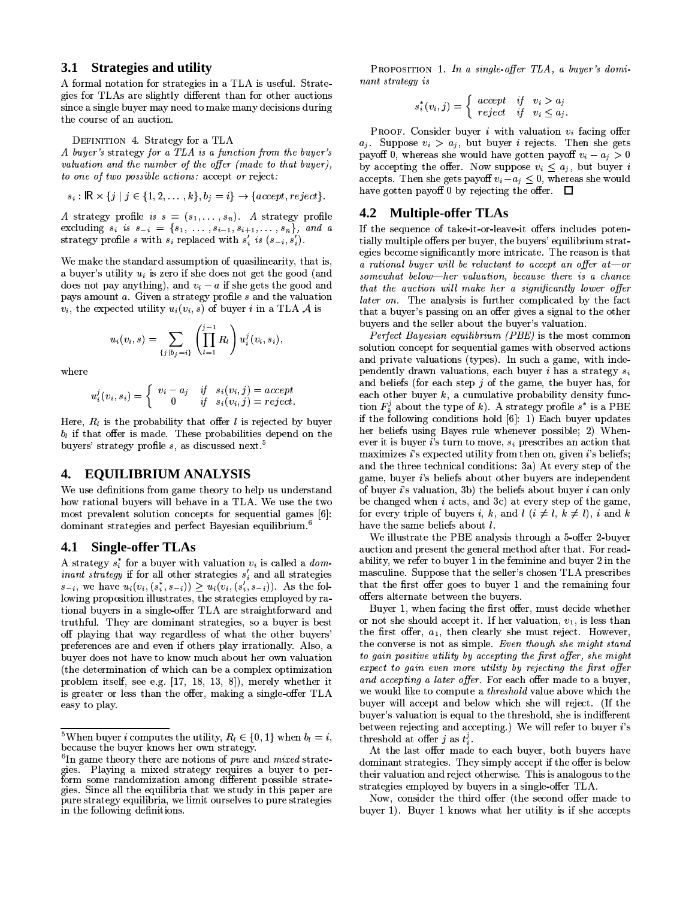### 3.1 Strategies and utility

A formal notation for strategies in a TLA is useful. Strategies for TLAs are slightly different than for other auctions since a single buyer may need to make many decisions during the course of an auction.

DEFINITION 4. Strategy for a TLA

A buyer's strategy for a TLA is a function from the buyer's valuation and the number of the offer (made to that buyer). to one of two possible actions: accept or reject:

$$
s_i : \mathbb{R} \times \{j \mid j \in \{1, 2, \ldots, k\}, b_j = i\} \rightarrow \{accept, reject\}.
$$

A strategy profile is  $s = (s_1, \ldots, s_n)$ . A strategy profile excluding  $s_i$  is  $s_{-i} = \{s_1, \ldots, s_{i-1}, s_{i+1}, \ldots, s_n\}$ , and a strategy profile s with  $s_i$  replaced with  $s'_i$  is  $(s_{-i}, s'_i)$ .

We make the standard assumption of quasilinearity, that is, a buyer's utility  $u_i$  is zero if she does not get the good (and does not pay anything), and  $v_i - a$  if she gets the good and pays amount a. Given a strategy profile s and the valuation  $v_i$ , the expected utility  $u_i(v_i, s)$  of buyer i in a TLA A is

$$
u_i(v_i, s) = \sum_{\{j \mid b_j = i\}} \left( \prod_{l=1}^{j-1} R_l \right) u_i^j(v_i, s_i)
$$

 $\mathcal{L}$ 

where

$$
u_i^j(v_i,s_i) = \left\{\begin{array}{ccc} v_i - a_j & \textit{if} & s_i(v_i,j) = accept \\ 0 & \textit{if} & s_i(v_i,j) = reject. \end{array}\right.
$$

Here,  $R_l$  is the probability that offer l is rejected by buyer  $b_l$  if that offer is made. These probabilities depend on the buyers' strategy profile s, as discussed next.<sup>5</sup>

### 4. EQUILIBRIUM ANALYSIS

We use definitions from game theory to help us understand how rational buyers will behave in a TLA. We use the two most prevalent solution concepts for sequential games [6]: dominant strategies and perfect Bayesian equilibrium.<sup>6</sup>

### **Single-offer TLAs** 4.1

A strategy  $s_i^*$  for a buyer with valuation  $v_i$  is called a *dominant strategy* if for all other strategies  $s_i$  and all strategies  $s_{-i}$ , we have  $u_i(v_i,(s_i^*, s_{-i})) \geq u_i(v_i,(s_i', s_{-i}))$ . As the following proposition illustrates, the strategies employed by rational buyers in a single-offer TLA are straightforward and truthful. They are dominant strategies, so a buyer is best off playing that way regardless of what the other buyers' preferences are and even if others play irrationally. Also, a buyer does not have to know much about her own valuation (the determination of which can be a complex optimization) problem itself, see e.g. [17, 18, 13, 8]), merely whether it is greater or less than the offer, making a single-offer TLA easy to play.

PROPOSITION 1. In a single-offer TLA, a buyer's dominant strategy is

$$
s_i^*(v_i, j) = \begin{cases} accept & if v_i > a_j \\ reject & if v_i \leq a_j \end{cases}
$$

PROOF. Consider buyer  $i$  with valuation  $v_i$  facing offer  $a_i$ . Suppose  $v_i > a_j$ , but buyer i rejects. Then she gets payoff 0, whereas she would have gotten payoff  $v_i - a_j > 0$ by accepting the offer. Now suppose  $v_i \leq a_j$ , but buyer i accepts. Then she gets payoff  $v_i - a_j \leq 0$ , whereas she would have gotten payoff 0 by rejecting the offer.  $\Box$ 

### 4.2 Multiple-offer TLAs

If the sequence of take-it-or-leave-it offers includes potentially multiple offers per buyer, the buyers' equilibrium strategies become significantly more intricate. The reason is that a rational buyer will be reluctant to accept an offer  $at$ -or somewhat below—her valuation, because there is a chance that the auction will make her a significantly lower offer later on. The analysis is further complicated by the fact that a buyer's passing on an offer gives a signal to the other buvers and the seller about the buver's valuation.

Perfect Bayesian equilibrium (PBE) is the most common solution concept for sequential games with observed actions and private valuations (types). In such a game, with independently drawn valuations, each buyer  $i$  has a strategy  $s_i$ and beliefs (for each step  $i$  of the game, the buyer has, for each other buyer  $k$ , a cumulative probability density function  $F_k^j$  about the type of k). A strategy profile  $s^*$  is a PBE if the following conditions hold [6]: 1) Each buyer updates her beliefs using Bayes rule whenever possible; 2) Whenever it is buyer  $i$ 's turn to move,  $s_i$  prescribes an action that maximizes  $i$ 's expected utility from then on, given  $i$ 's beliefs; and the three technical conditions: 3a) At every step of the game, buyer i's beliefs about other buyers are independent of buyer i's valuation, 3b) the beliefs about buyer  $i$  can only be changed when  $i$  acts, and  $3c$ ) at every step of the game, for every triple of buyers i, k, and  $l$   $(i \neq l, k \neq l)$ , i and k have the same beliefs about  $l$ .

We illustrate the PBE analysis through a 5-offer 2-buyer auction and present the general method after that. For readability, we refer to buyer 1 in the feminine and buyer 2 in the masculine. Suppose that the seller's chosen TLA prescribes that the first offer goes to buyer 1 and the remaining four offers alternate between the buyers.

Buyer 1, when facing the first offer, must decide whether or not she should accept it. If her valuation,  $v_1$ , is less than the first offer,  $a_1$ , then clearly she must reject. However, the converse is not as simple. Even though she might stand to gain positive utility by accepting the first offer, she might expect to gain even more utility by rejecting the first offer and accepting a later offer. For each offer made to a buyer, we would like to compute a *threshold* value above which the buyer will accept and below which she will reject. (If the buyer's valuation is equal to the threshold, she is indifferent between rejecting and accepting.) We will refer to buyer  $i$ 's threshold at offer j as  $t_i^j$ .

At the last offer made to each buyer, both buyers have dominant strategies. They simply accept if the offer is below their valuation and reject otherwise. This is analogous to the strategies employed by buyers in a single-offer TLA.

Now, consider the third offer (the second offer made to buyer 1). Buyer 1 knows what her utility is if she accepts

<sup>&</sup>lt;sup>5</sup>When buyer *i* computes the utility,  $R_l \in \{0, 1\}$  when  $b_l = i$ , because the buyer knows her own strategy.

<sup>&</sup>lt;sup>6</sup>In game theory there are notions of *pure* and *mixed* strategies. Playing a mixed strategy requires a buyer to perform some randomization among different possible strategies. Since all the equilibria that we study in this paper are pure strategy equilibria, we limit ourselves to pure strategies in the following definitions.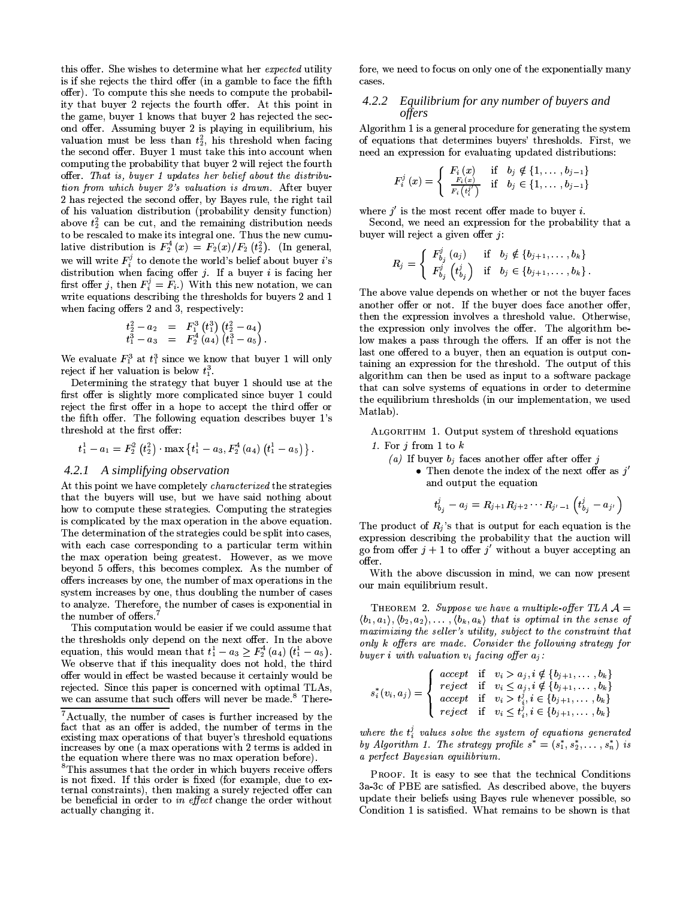this offer. She wishes to determine what her expected utility is if she rejects the third offer (in a gamble to face the fifth offer). To compute this she needs to compute the probability that buyer 2 rejects the fourth offer. At this point in the game, buyer 1 knows that buyer 2 has rejected the second offer. Assuming buyer 2 is playing in equilibrium, his valuation must be less than  $t_2^2$ , his threshold when facing the second offer. Buyer 1 must take this into account when computing the probability that buyer 2 will reject the fourth offer. That is, buyer 1 updates her belief about the distribution from which buyer 2's valuation is drawn. After buyer 2 has rejected the second offer, by Bayes rule, the right tail of his valuation distribution (probability density function) above  $t_2^2$  can be cut, and the remaining distribution needs to be rescaled to make its integral one. Thus the new cumulative distribution is  $F_2^4(x) = F_2(x)/F_2(t_2^2)$ . (In general, we will write  $F_i^j$  to denote the world's belief about buyer i's distribution when facing offer  $j$ . If a buyer  $i$  is facing her first offer j, then  $F_i^j = F_i$ .) With this new notation, we can write equations describing the thresholds for buyers 2 and 1 when facing offers 2 and 3, respectively:

$$
\begin{array}{rcl} t_2^2-a_2&=&F_1^3\left(t_1^3\right)\left(t_2^2-a_4\right)\\ t_1^3-a_3&=&F_2^4\left(a_4\right)\left(t_1^3-a_5\right). \end{array}
$$

We evaluate  $F_1^3$  at  $t_1^3$  since we know that buyer 1 will only reject if her valuation is below  $t_1^3$ .

Determining the strategy that buyer 1 should use at the first offer is slightly more complicated since buyer 1 could reject the first offer in a hope to accept the third offer or the fifth offer. The following equation describes buyer 1's threshold at the first offer:

$$
t_1^1-a_1=F_2^2\left(t_2^2\right)\cdot\max\left\{t_1^1-a_3, F_2^4\left(a_4\right)\left(t_1^1-a_5\right)\right\}
$$

### 4.2.1 A simplifying observation

At this point we have completely *characterized* the strategies that the buyers will use, but we have said nothing about how to compute these strategies. Computing the strategies is complicated by the max operation in the above equation. The determination of the strategies could be split into cases, with each case corresponding to a particular term within the max operation being greatest. However, as we move beyond 5 offers, this becomes complex. As the number of offers increases by one, the number of max operations in the system increases by one, thus doubling the number of cases to analyze. Therefore, the number of cases is exponential in the number of offers.<sup>7</sup>

This computation would be easier if we could assume that the thresholds only depend on the next offer. In the above equation, this would mean that  $t_1^1 - a_3 > F_2^4(a_4) (t_1^1 - a_5)$ . We observe that if this inequality does not hold, the third offer would in effect be wasted because it certainly would be rejected. Since this paper is concerned with optimal TLAs, we can assume that such offers will never be made.<sup>8</sup> Therefore, we need to focus on only one of the exponentially many cases.

### Equilibrium for any number of buyers and 4.2.2 *offers*

Algorithm 1 is a general procedure for generating the system of equations that determines buyers' thresholds. First, we need an expression for evaluating updated distributions:

$$
F_i^j(x) = \begin{cases} F_i(x) & \text{if } b_j \notin \{1, \ldots, b_{j-1}\} \\ \frac{F_i(x)}{F_i(t_i^j)} & \text{if } b_j \in \{1, \ldots, b_{j-1}\} \end{cases}
$$

where  $j'$  is the most recent offer made to buyer i.

Second, we need an expression for the probability that a buyer will reject a given offer  $j$ .

$$
R_j = \left\{ \begin{array}{ll} F_{b_j}^j (a_j) & \text{if} \quad b_j \notin \{b_{j+1}, \ldots, b_k\} \\ F_{b_j}^j \left(t_{b_j}^j\right) & \text{if} \quad b_j \in \{b_{j+1}, \ldots, b_k\} \end{array} \right.
$$

The above value depends on whether or not the buyer faces another offer or not. If the buyer does face another offer, then the expression involves a threshold value. Otherwise, the expression only involves the offer. The algorithm below makes a pass through the offers. If an offer is not the last one offered to a buyer, then an equation is output containing an expression for the threshold. The output of this algorithm can then be used as input to a software package that can solve systems of equations in order to determine the equilibrium thresholds (in our implementation, we used Matlab).

ALGORITHM 1. Output system of threshold equations 1. For  $j$  from 1 to  $k$ 

- (a) If buyer  $b_j$  faces another offer after offer j
	- Then denote the index of the next offer as  $j'$ and output the equation

$$
t_{b_j}^j - a_j = R_{j+1}R_{j+2}\cdots R_{j'-1}\left(t_{b_j}^j - a_{j'}\right)
$$

The product of  $R_j$ 's that is output for each equation is the expression describing the probability that the auction will go from offer  $j + 1$  to offer j' without a buyer accepting an offer.

With the above discussion in mind, we can now present our main equilibrium result.

THEOREM 2. Suppose we have a multiple-offer TLA  $\mathcal{A} =$  $(b_1, a_1), (b_2, a_2), \ldots, (b_k, a_k)$  that is optimal in the sense of maximizing the seller's utility, subject to the constraint that only k offers are made. Consider the following strategy for buyer i with valuation  $v_i$  facing offer  $a_i$ :

$$
s_i^*(v_i, a_j) = \left\{\begin{array}{ll} accept \quad \text{if} \quad v_i > a_j, i \notin \{b_{j+1}, \ldots, b_k\} \\ reject \quad \text{if} \quad v_i \leq a_j, i \notin \{b_{j+1}, \ldots, b_k\} \\ accept \quad \text{if} \quad v_i > t_i^j, i \in \{b_{j+1}, \ldots, b_k\} \\ reject \quad \text{if} \quad v_i \leq t_i^j, i \in \{b_{j+1}, \ldots, b_k\} \end{array}\right.
$$

where the  $t_i^j$  values solve the system of equations generated by Algorithm 1. The strategy profile  $s^* = (s_1^*, s_2^*, \ldots, s_n^*)$  is a perfect Bayesian equilibrium.

PROOF. It is easy to see that the technical Conditions 3a-3c of PBE are satisfied. As described above, the buyers update their beliefs using Bayes rule whenever possible, so Condition 1 is satisfied. What remains to be shown is that

<sup>&</sup>lt;sup>7</sup>Actually, the number of cases is further increased by the fact that as an offer is added, the number of terms in the existing max operations of that buyer's threshold equations increases by one (a max operations with 2 terms is added in the equation where there was no max operation before).

<sup>&</sup>lt;sup>8</sup>This assumes that the order in which buyers receive offers is not fixed. If this order is fixed (for example, due to external constraints), then making a surely rejected offer can be beneficial in order to in effect change the order without actually changing it.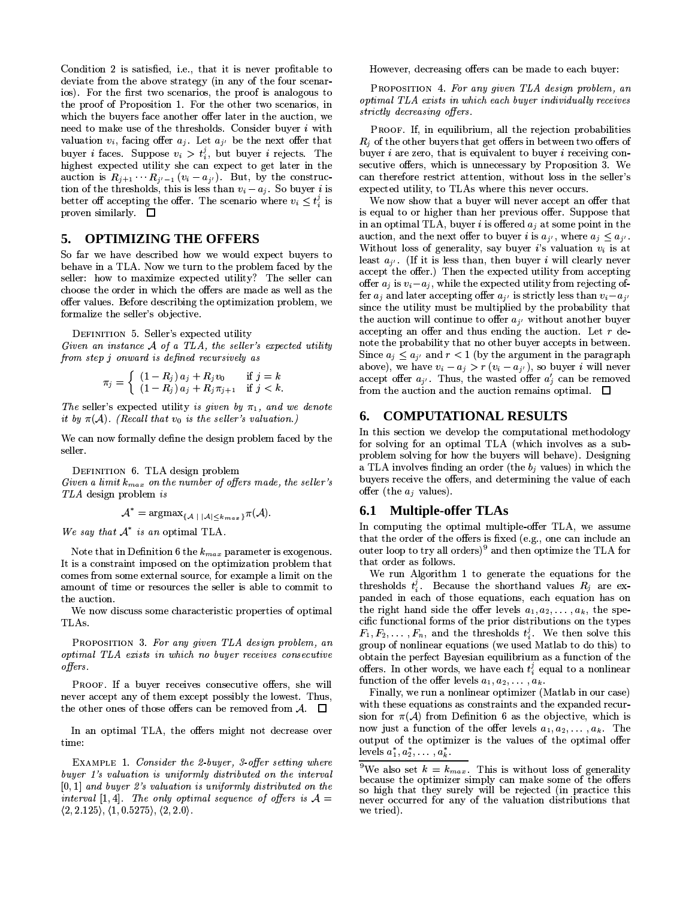$\sim$  - 20  $\sim$  - 20  $\sim$  - 20  $\sim$  - 20  $\sim$  - 20  $\sim$  - 20  $\sim$  - 20  $\sim$  20  $\sim$  20  $\sim$  20  $\sim$  20  $\sim$  20  $\sim$  20  $\sim$  20  $\sim$  20  $\sim$  20  $\sim$  20  $\sim$  20  $\sim$  20  $\sim$  20  $\sim$  20  $\sim$  20  $\sim$  20  $\sim$  20  $\sim$  20  $\sim$  20  $\mathbf{A}$  and  $\mathbf{A}$  and  $\mathbf{A}$  and  $\mathbf{A}$  and  $\mathbf{A}$  and  $\mathbf{A}$  and  $\mathbf{A}$  and  $\mathbf{A}$  and  $\mathbf{A}$  and  $\mathbf{A}$  and  $\mathbf{A}$  and  $\mathbf{A}$  and  $\mathbf{A}$  and  $\mathbf{A}$  and  $\mathbf{A}$  and  $\mathbf{A}$  and  $\mathbf{A}$  and  $\blacksquare$  :  $\blacksquare$  :  $\blacksquare$  :  $\blacksquare$  :  $\blacksquare$  :  $\blacksquare$  :  $\blacksquare$  :  $\blacksquare$  :  $\blacksquare$  :  $\blacksquare$  :  $\blacksquare$  :  $\blacksquare$  :  $\blacksquare$  :  $\blacksquare$  :  $\blacksquare$  :  $\blacksquare$  :  $\blacksquare$  :  $\blacksquare$  :  $\blacksquare$  :  $\blacksquare$  :  $\blacksquare$  :  $\blacksquare$  :  $\blacksquare$  :  $\blacksquare$  :  $\blacksquare$  $\blacksquare$  and an interval of the contract of the contract of the contract of the contract of the contract of the contract of the contract of the contract of the contract of the contract of the contract of the contract of the IJE+@NEZ
E+-KM - :dR,9.-9%+%
E-N w.lm- T=9.
- w@Z
E-g9.
@B4b+Ik- $\pm$  . The contract of the contract of the contract of the contract of the contract of the contract of the contract of the contract of the contract of the contract of the contract of the contract of the contract of the co valuation  $v_i$ , facing offer  $a_j$ . Let  $a_{j'}$  be the next offer that K++M -N %#\R!9%-:hQS+SfB:-\$&%l & bpKWK++M -N #7 -r-:h<sdE+-E+@\_BE-:XO-eSf--+
@=@?rM|:E+-A9%-eSf-N
\_%-O=9
- W@|
E+auction is  $R_{i+1} \cdots R_{i'-1} (v_i - a_{i'})$ . But, by the construction of the thresholds, this is less than  $v_i - a_i$ . So buver *i* is ex-Kf-N
- T%l9%-S+
@\_;
E-\.lm- AhpsdE-:-9. @OIJE-N -m\$& <sup>q</sup> & @: u-Simon and the second contract of the second contract of the second contract of the second contract of the second contract of the second contract of the second contract of the second contract of the second contract of the

### **5. OPTIMIZING THE OFFERS**

R!9. (Id-nEF9AU-Z+-: @Kf-AEAI©Ik-ZId%=<-Ne+Sf-(KM - :W
 Kf-EF9AU-7@n9;sYtuhwI{Id-7 g
E-TS+ %K=@-C²R!9%-HK MO
E+-- il ∩ — i di accessione de Moov 2E %:-\
E-w% 2+-N JIJE@2En
E+-7%lm-N :J9. -\C9%+-\9.:dId-=@=9%:d
E+-.lm- jUB9.=@-:h^xp-R!. -7-: @K@\_w
E-d%S+
@C(@A9.
@BWS+ BK+=@-CLb%Ik-RV% C9.=@-E+-\:-=@=@- Ao :7BKX-@U-Bh

;.<>=@?BAC?DF?BGAP hT-==@- Ao :T-eSf--AH+
@=@?rM Given an instance A of a TLA, the seller's expected utility  $10^{-10}$  $from \, step \, i \,onward \, is \, defined \, recursively \, as$ 

$$
\pi_j = \left\{ \begin{array}{ll} (1-R_j) a_j + R_j v_0 & \text{if } j = k \\ (1-R_j) a_j + R_j \pi_{j+1} & \text{if } j < k. \end{array} \right.
$$

The seller's expected utility is given by  $\pi_1$ , and we denote it by  $\pi(A)$ . (Recall that v<sub>0</sub> is the seller's valuation.)

-YA9%(+AI<RV% C9.==?MO+-~-d
E-J-:@\_BOS BK+=-CR!9%-OKMg
E+-:-==@- Ah

;.<>=@?BAC?DF?BGA £hJsYtvu+-:@\_%LS+ %K=@-C

Given a limit  $k_{max}$  on the number of offers made, the seller's 143v5 +-:@\_%LS+ %K=@-C¦!/

$$
\mathcal{A}^* = \operatorname{argmax}_{\{\mathcal{A} \; | \; |\mathcal{A}| \le k_{max}\}} \pi(\mathcal{A}).
$$

We say that  $A^*$  is an optimal TLA.

 $N_{\text{obs}}$  that in  $D_{\text{obs}}$  files  $k$  is a construction of the second contract of the  $k$  $\blacksquare$  . The set of the set of the set of the set of the set of the set of the set of the set of the set of the set of the set of the set of the set of the set of the set of the set of the set of the set of the set of the  $\blacksquare$ 9.C(B+T.Rp
@C(-% w -:B -:7
E+-g:-=@=-N \@:\9.K=@-%C(C(?T
  $\blacksquare$ 

 $\bullet$  . The state of the state of the state of the state of the state of the state of the state of the state of the state of the state of the state of the state of the state of the state of the state of the state of the st TLAs.

PROPOSITION 3. For any given TLA design problem, an  $\qquad \qquad$  $\it optimal\; TLA\; exists\; in\; which\; no\; buyer\; receives\; consecutive\; \quad \bar{\alpha}$  $of$ fers.

ACB\GGH=IHTq#RW9<K++M -N Z --UB-:B+:-UB-.lm- :bg:E-IJ@== +-U- T9.-Sw9% MH%Ri
E-C¯-e-SJSfB::@K=?MZ
E+-\=@AId-:XAhksdE:b E+-%
E+- JB+-:J%Ri
E%:-%lm- :JA9.LKf-\ -C(U-A(RV %C
s(h

q#}9.}BS
C9.=7sYtubj
E-L.lm- :HC(\_%E %H- -A9.:-.UB- @C(-

EXAMPLE 1. Consider the 2-buyer, 3-offer setting where buyer 1's valuation is uniformly distributed on the interval  $[0, 1]$  and buyer 2's valuation is uniformly distributed on the  $\tilde{a}$ . interval [1, 4]. The only optimal sequence of offers is  $A =$  never  $\alpha$  $(2, 2, 125)$ ,  $(1, 0, 5275)$ ,  $(2, 2, 0)$ ,

67AIk-U- Ab+-N -A9%:@\_(.lm- :JA9%ZKf-\C9B-7
O-A9.NELK++M -N

strictly decreasing offers PROPOSITION 4. For any given TLA design problem, an  $\it optimal\;TLA\; exists\; in\; which\; each\; buper\; individually\; receives$ 

 $h$ uver i are zero that is equivalent to buyer i receiving con- :-@U-W.lm- :bIJE+@NE@:\+--::
9. MK MS?i BSfB:?
@B|hg|-ACBRGHG=IHwqRrbv-Ay @=@@K+ @CLbv9%=@=p
E+-W -r-@B|S BK9%K@=@?
@-: 0d.R
E-p%
E+- 6K++M - :4
EF9i\_B-6%lm- :i@gKf-rIk--grIkw.lm- :i%R A9.
E-N -R!. -O -:X @;9.
- 
@B4bIJ?
E%+g=@B::g@
E+-O:-=@=@- Ao : -eSf--n+
@=@?rM b
(sYtuw:YIJE- -\
E+@:T+-U- J + :h

least  $a_{ii}$ . (If it is less than, then buyer *i* will clearly neve offer  $a_i$  is  $v_i - a_j$ , while the expected utility from rejecting offer  $a_i$  and later accepting offer  $a_{ii}$  is strictly less than  $v_i - a_{ii}$ |-TAID:E+I{
EF9.Y9;KM - jIJ@==4-U- Y9.-SJ9%H%lm-N Y
EF9. @:\-Ay F9.=v
% 7E@\_BE+- 7
E9%E- 7S+ -U@B+:7.lm- AhS+SfB:-g
EF9. @O9.OBS
C9.=sYtvub%KM - ]#4@:^%lm- -A.x0J9.j:%C(-dSfB@ j
E- $\sim$  . The set of the set of the set of the set of the set of the set of the set of the set of the set of the set of the set of the set of the set of the set of the set of the set of the set of the set of the set of the s P?
E%+=@B::;%RT\_B-+- 29%=@?rM b6:
9AMKM - -#o :U%9%=@F9
%\$&T@:W9 9%-S+T
E-.lm- Ah aHsdE+-Z
E+--Ne+Sf--An
@=?#MZRV %C9%-S+
@\_  $\blacksquare$  $\bullet$  . The set of the set of the set of the set of the set of the set of the set of the set of the set of the set of the set of the set of the set of the set of the set of the set of the set of the set of the set of the s 9%-S+
@+\_9%|.lm- O9.F
E+:-F+@+\_Z
E-9.
@B4ht4--L+-N> .
-d
E-YS BKF9.K@=@?rM
EF9.j+\%
E+- jK+M- j9%-S+
:^@OKf-#Id--4h and the set of the set of the set of the set of the set of the set of the set of the set of the set of the set  $\mathcal{N}=\mathcal{N}=\mathcal{N}=\mathcal{N}=\mathcal{N}=\mathcal{N}=\mathcal{N}=\mathcal{N}=\mathcal{N}=\mathcal{N}=\mathcal{N}=\mathcal{N}=\mathcal{N}=\mathcal{N}=\mathcal{N}=\mathcal{N}=\mathcal{N}=\mathcal{N}=\mathcal{N}=\mathcal{N}=\mathcal{N}=\mathcal{N}=\mathcal{N}=\mathcal{N}=\mathcal{N}=\mathcal{N}=\mathcal{N}=\mathcal{N}=\mathcal{N}=\mathcal{N}=\mathcal{N}=\mathcal{N}=\mathcal{N}=\mathcal{N}=\mathcal{N}=\mathcal{N}=\mathcal{$  $\sim$  0  $\sim$  0  $\sim$  1  $\sim$  1  $\sim$  1  $\sim$  1  $\sim$  1  $\sim$  1  $\sim$  1  $\sim$  1  $\sim$  1  $\sim$  1  $\sim$  1  $\sim$  1  $\sim$  1  $\sim$  1  $\sim$  1  $\sim$  1  $\sim$  1  $\sim$  1  $\sim$  1  $\sim$  1  $\sim$  1  $\sim$  1  $\sim$  1  $\sim$  1  $\sim$  1  $\sim$  1  $\sim$  1  $\sim$  1  $\sim$  1  $\sim$  $\alpha$  . The set of the set of the set of the set of the set of the set of the set of the set of the set of the set of the set of the set of the set of the set of the set of the set of the set of the set of the set of the s

### **6. COMPUTATIONAL RESULTS**

In this section we develop the computational methodology R!. :B=@U@\_RV% n9%<BS
@C9%=JsYtvu¦[!IJE@2E{@UB=@U-:(9%:9:K> S+ %K=@-C¯:%=@U@+\_WR!. JEAIP
E-wK+M- :kIJ@=@=Kf-E9AU-aNh^`\-:@\_%@\_ 9gsYtvu}@UB=@U-:j~F+@+\_9%% 2- w[!
E-nv 0wU%9%=@+-:2aj@OIJE@2EO
E-KM - :d --@U-7
E-.lm- :b9%Fn+--N C(+@\_;
E+-\U%9%=@-\.Ri-A9.NE %lm-N ;[!
E+-Yx0U%9%=@-:2aNh

### **6.1 Multiple-offer TLAs**

qrQBC(S++
@\_
E-ZBS+
@C9.=wC;=?
@S=@->%lm- (sYtvubjId-9.::C(-EF9d
E-7% 2+-N J%Rv
E+-7.lm- :J:d~+e-A[,-Bh \_+h@b%-\9%Z@+=@F+-\9%  $\blacksquare$  : the sound in the sound of the sound of the sound of the sound of the sound of the sound of the sound of the sound of the sound of the sound of the sound of the sound of the sound of the sound of the sound of the  $\blacksquare$ 

We run Algorithm 1 to generate the equations for the  $\frac{1}{2}$  $\mathbf{A} = \mathbf{B} \cdot \mathbf{A}$  . The contract  $\mathbf{B}$  is the contract of the contract of the contract of the contract of the contract of the contract of the contract of the contract of the contract of the contract of the contra panded in each of those equations each equation has on the right hand side the offer levels  $a_1, a_2, \ldots, a_k$ , the spe- $\rm{cific~functional~forms~of~the~prior~distributions~on~the~types}$  $F_1, F_2, \ldots, F_n$  and the thresholds  $t^j$ . We then solve this  $\blacksquare$  A  $\blacksquare$  and a  $\blacksquare$  and a set of the set of the set of the set of the set of the set of the set of the set of the set of the set of the set of the set of the set of the set of the set of the set of the set of the obtain the perfect Bavesian equilibrium as a function of th  $\alpha$  radio 1 die 10 die 11 function of the offer levels  $a_1, a_2, \ldots, a_k$ .

now just a function of the offer levels  $a_1, a_2, \ldots, a_k$ . Th 6@F9.==?M b%Id-d W97%=@@-A9 jBS+
@C(@- J[L9
=9%K(@W%+ jA9%:-Aa IJ?
EO
E-:-J-Ay 9.
@B+:k9.:k%:X 29%@ 
:p9%FW
E+-Y-eSF9.F+-; - <sup>&</sup>gt; where  $\Gamma$  are  $\Gamma$  and  $\Gamma$  are  $\Gamma$  . It is a contract of the contract of the contract of the contract of the contract of the contract of the contract of the contract of the contract of the contract of the contract of t B
S(%R\
E+-Z%S+
@C(@- @:(
E-ZU%9%=@+-:(%R\
E+-Z%S+
@C9%=J%lm-N levels  $a^*$   $a^*$   $a^*$ 

 $\mathcal{L}^{\text{S}}(M)$  also sot  $k = k$  This is without loss of conorality Kf-A9.:-E-(%S+
@C(@- ;:C(S+=?MA9.C9%c-(:%C(-(%RJ
E-%lm-N because the optimizer simply can make some of the offers :|E+\_%E<
E9.(
E+-M:+ -=?MIJ@=@=wKf-Z -rX--[,@{S 29%
@-Z
E+@: -U- O + -AR!. H9% M%Rw
E-HUB9.=@F9.
@%}+@:X @K
@B:;
EF9. and the contract of the contract of the contract of the contract of the contract of the contract of the contract of the contract of the contract of the contract of the contract of the contract of the contract of the contra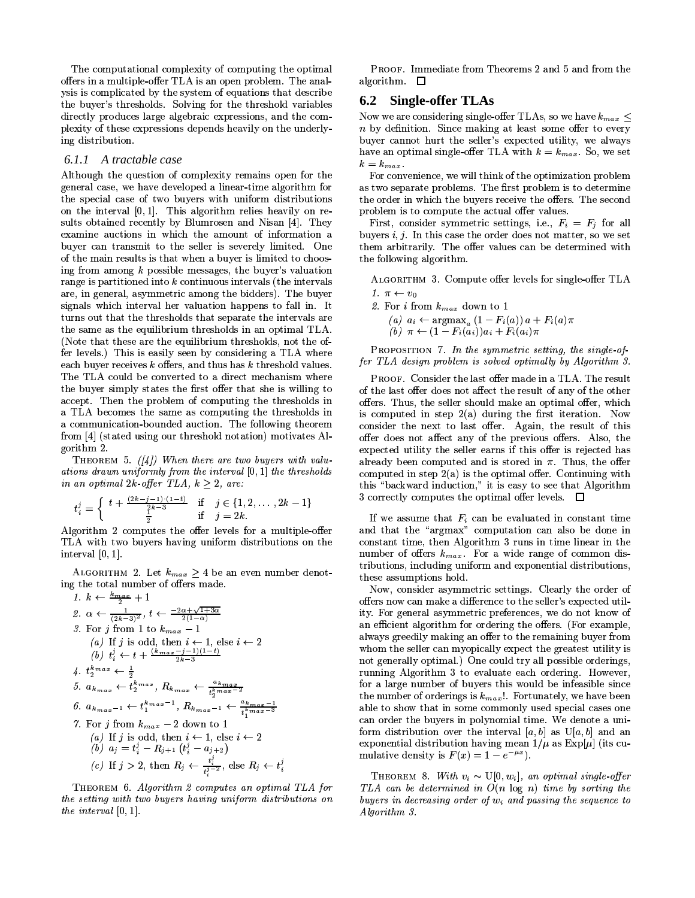The computational complexity of computing the optimal offers in a multiple-offer TLA is an open problem. The analysis is complicated by the system of equations that describe the buyer's thresholds. Solving for the threshold variables directly produces large algebraic expressions, and the complexity of these expressions depends heavily on the underlying distribution.

### 6.1.1 A tractable case

Although the question of complexity remains open for the general case, we have developed a linear-time algorithm for the special case of two buyers with uniform distributions on the interval  $[0,1]$ . This algorithm relies heavily on results obtained recently by Blumrosen and Nisan [4]. They examine auctions in which the amount of information a buver can transmit to the seller is severely limited. One of the main results is that when a buyer is limited to choosing from among  $k$  possible messages, the buyer's valuation range is partitioned into  $k$  continuous intervals (the intervals are, in general, asymmetric among the bidders). The buyer signals which interval her valuation happens to fall in. It turns out that the thresholds that separate the intervals are the same as the equilibrium thresholds in an optimal TLA. (Note that these are the equilibrium thresholds, not the offer levels.) This is easily seen by considering a TLA where each buyer receives  $k$  offers, and thus has  $k$  threshold values. The TLA could be converted to a direct mechanism where the buyer simply states the first offer that she is willing to accept. Then the problem of computing the thresholds in a TLA becomes the same as computing the thresholds in a communication-bounded auction. The following theorem from [4] (stated using our threshold notation) motivates Algorithm 2.

THEOREM 5.  $([4])$  When there are two buyers with valuations drawn uniformly from the interval [0, 1] the thresholds in an optimal  $2k$ -offer TLA,  $k > 2$ , are:

$$
t_i^j = \begin{cases} t + \frac{(2k-j-1)\cdot(1-t)}{2k-3} & \text{if } j \in \{1, 2, \dots, 2k-1\} \\ \frac{1}{2} & \text{if } j = 2k. \end{cases}
$$

Algorithm 2 computes the offer levels for a multiple-offer TLA with two buyers having uniform distributions on the interval  $[0, 1]$ .

ALGORITHM 2. Let  $k_{max} \geq 4$  be an even number denoting the total number of offers made.

1. 
$$
k \leftarrow \frac{n_{max}}{2} + 1
$$
  
\n2.  $\alpha \leftarrow \frac{1}{(2k-3)^2}$ ,  $t \leftarrow \frac{-2\alpha + \sqrt{1+3\alpha}}{2(1-\alpha)}$   
\n3. For *j* from 1 to  $k_{max} - 1$   
\n(a) If *j* is odd, then  $i \leftarrow 1$ , else  $i \leftarrow 2$   
\n(b)  $t_i^j \leftarrow t + \frac{(k_{max}-j-1)(1-t)}{2k-3}$   
\n4.  $t_2^{k_{max}} \leftarrow \frac{1}{2}$   
\n5.  $a_{k_{max}} \leftarrow t_2^{k_{max}}$ ,  $R_{k_{max}} \leftarrow \frac{a_{k_{max}}}{t_2^{k_{max}}-2}$   
\n6.  $a_{k_{max}-1} \leftarrow t_1^{k_{max}-1}$ ,  $R_{k_{max}} - 1 \leftarrow \frac{a_{k_{max}}-1}{t_1^{k_{max}}-3}$   
\n7. For *j* from  $k_{max} - 2$  down to 1  
\n(a) If *j* is odd, then  $i \leftarrow 1$ , else  $i \leftarrow 2$   
\n(b)  $a_j = t_i^j - R_{j+1} (t_i^j - a_{j+2})$   
\n(c) If  $j > 2$ , then  $R_j \leftarrow \frac{t_j^j}{t_j^j-2}$ , else  $R_j \leftarrow t_i^j$ 

THEOREM 6. Algorithm 2 computes an optimal TLA for the setting with two buyers having uniform distributions on the interval  $[0, 1]$ .

PROOF. Immediate from Theorems 2 and 5 and from the algorithm.  $\square$ 

### 6.2 Single-offer TLAs

Now we are considering single-offer TLAs, so we have  $k_{max} \leq$ *n* by definition. Since making at least some offer to every buyer cannot hurt the seller's expected utility, we always have an optimal single-offer TLA with  $k = k_{max}$ . So, we set  $k = k_{max}$ .

For convenience, we will think of the optimization problem as two separate problems. The first problem is to determine the order in which the buyers receive the offers. The second problem is to compute the actual offer values.

First, consider symmetric settings, i.e.,  $F_i = F_j$  for all buyers  $i, j$ . In this case the order does not matter, so we set them arbitrarily. The offer values can be determined with the following algorithm.

ALGORITHM 3. Compute offer levels for single-offer TLA 1.  $\pi \leftarrow v_0$ 

2. For  $i$  from  $k_{max}$  down to 1

(a)  $a_i \leftarrow \arg \max_a (1 - F_i(a)) a + F_i(a) \pi$ (b)  $\pi \leftarrow (1 - F_i(\alpha_i))a_i + F_i(a_i)\pi$ 

PROPOSITION 7. In the symmetric setting, the single-offer TLA design problem is solved optimally by Algorithm 3.

PROOF. Consider the last offer made in a TLA. The result of the last offer does not affect the result of any of the other offers. Thus, the seller should make an optimal offer, which is computed in step  $2(a)$  during the first iteration. Now consider the next to last offer. Again, the result of this offer does not affect any of the previous offers. Also, the expected utility the seller earns if this offer is rejected has already been computed and is stored in  $\pi$ . Thus, the offer computed in step  $2(a)$  is the optimal offer. Continuing with this "backward induction," it is easy to see that Algorithm 3 correctly computes the optimal offer levels.  $\Box$ 

If we assume that  $F_i$  can be evaluated in constant time and that the "argmax" computation can also be done in constant time, then Algorithm 3 runs in time linear in the number of offers  $k_{max}$ . For a wide range of common distributions, including uniform and exponential distributions, these assumptions hold.

Now, consider asymmetric settings. Clearly the order of offers now can make a difference to the seller's expected utility. For general asymmetric preferences, we do not know of an efficient algorithm for ordering the offers. (For example, always greedily making an offer to the remaining buyer from whom the seller can myopically expect the greatest utility is not generally optimal.) One could try all possible orderings, running Algorithm 3 to evaluate each ordering. However, for a large number of buyers this would be infeasible since the number of orderings is  $k_{max}$ ! Fortunately, we have been able to show that in some commonly used special cases one can order the buyers in polynomial time. We denote a uniform distribution over the interval [a, b] as  $U[a, b]$  and an exponential distribution having mean  $1/\mu$  as  $Exp[\mu]$  (its cumulative density is  $F(x) = 1 - e^{-\mu x}$ .

THEOREM 8. With  $v_i \sim U[0, w_i]$ , an optimal single-offer TLA can be determined in  $O(n \log n)$  time by sorting the buyers in decreasing order of  $w_i$  and passing the sequence to Algorithm 3.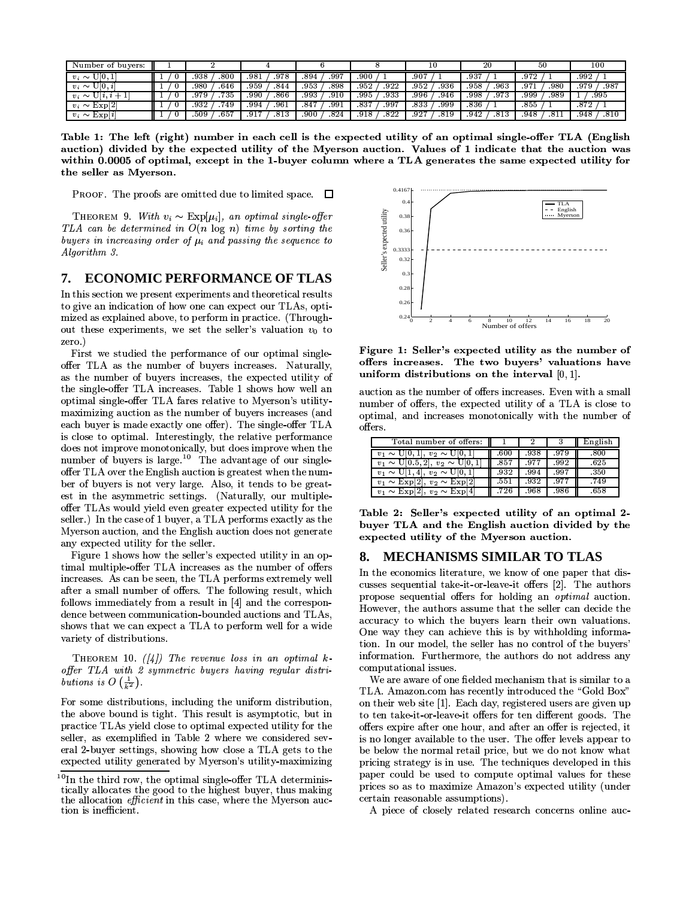| Number of buyers:        |   |              |              |              |              | 10           | 20           | 50           | 100          |
|--------------------------|---|--------------|--------------|--------------|--------------|--------------|--------------|--------------|--------------|
| $v_i \sim U[0, 1]$       | 0 | .800<br>938. | .981<br>.978 | .997<br>.894 | .900         | .907         | .937         | .972         | .992         |
| $v_i \sim U[0, i]$       | 0 | .646<br>980  | 959<br>.844  | .953<br>898  | .952<br>.922 | .952<br>.936 | .958<br>.963 | .971<br>.980 | .987<br>.979 |
| $v_i \sim U_1$           | 0 | 735<br>.979  | 990.<br>.866 | .910<br>.993 | .995<br>.933 | .996<br>.946 | .973<br>998. | .999<br>.989 | .995         |
| $v_i \sim \text{Exp}[2]$ | 0 | .749<br>.932 | .961<br>.994 | .991<br>.847 | .837<br>.997 | .833<br>.999 | .836         | .855         | .872         |
| $v_i \sim \text{Exp}[i]$ | 0 | .657<br>.509 | .917<br>.813 | .824<br>.900 | .918<br>822  | .927<br>.819 | .942<br>.813 | .948<br>.81! | .810<br>.948 |

Table 1: The left (right) number in each cell is the expected utility of an optimal single-offer TLA (English auction) divided by the expected utility of the Myerson auction. Values of 1 indicate that the auction was within 0.0005 of optimal, except in the 1-buyer column where a TLA generates the same expected utility for the seller as Myerson.

**PROOF.** The proofs are omitted due to limited space.  $\Box$ 

THEOREM 9. With  $v_i \sim \text{Exp}[\mu_i]$ , an optimal single offer TLA can be determined in  $O(n \log n)$  time by sorting the buyers in increasing order of  $\mu_i$  and passing the sequence to Algorithm 3.

### 7. **ECONOMIC PERFORMANCE OF TLAS**

In this section we present experiments and theoretical results to give an indication of how one can expect our TLAs, optimized as explained above, to perform in practice. (Throughout these experiments, we set the seller's valuation  $v_0$  to zero.)

First we studied the performance of our optimal singleoffer TLA as the number of buvers increases. Naturally, as the number of buvers increases, the expected utility of the single-offer TLA increases. Table 1 shows how well an optimal single-offer TLA fares relative to Myerson's utilitymaximizing auction as the number of buyers increases (and each buyer is made exactly one offer). The single-offer TLA is close to optimal. Interestingly, the relative performance does not improve monotonically, but does improve when the number of buyers is large.<sup>10</sup> The advantage of our singleoffer TLA over the English auction is greatest when the number of buyers is not very large. Also, it tends to be greatest in the asymmetric settings. (Naturally, our multipleoffer TLAs would yield even greater expected utility for the seller.) In the case of 1 buyer, a TLA performs exactly as the Myerson auction, and the English auction does not generate any expected utility for the seller.

Figure 1 shows how the seller's expected utility in an optimal multiple-offer TLA increases as the number of offers increases. As can be seen, the TLA performs extremely well after a small number of offers. The following result, which follows immediately from a result in [4] and the correspondence between communication-bounded auctions and TLAs. shows that we can expect a TLA to perform well for a wide variety of distributions.

THEOREM 10.  $([4])$  The revenue loss in an optimal koffer TLA with 2 symmetric buyers having regular distributions is  $O\left(\frac{1}{k^2}\right)$ .

For some distributions, including the uniform distribution, the above bound is tight. This result is asymptotic, but in practice TLAs yield close to optimal expected utility for the seller, as exemplified in Table 2 where we considered several 2-buyer settings, showing how close a TLA gets to the expected utility generated by Myerson's utility-maximizing



Figure 1: Seller's expected utility as the number of offers increases. The two buyers' valuations have uniform distributions on the interval  $[0, 1]$ .

auction as the number of offers increases. Even with a small number of offers, the expected utility of a TLA is close to optimal, and increases monotonically with the number of offers.

| Total number of offers:                          |      | - 2  |      | English |
|--------------------------------------------------|------|------|------|---------|
| $v_1 \sim U[0,1], v_2 \sim U[0,1]$               | .600 | .938 | .979 | .800    |
| $v_1 \sim U[0.5, 2], v_2 \sim U[0, 1]$           | .857 | .977 | .992 | .625    |
| $v_1 \sim U[1, 4], v_2 \sim U[0, 1]$             | .932 | .994 | .997 | .350    |
| $v_1 \sim \text{Exp}[2], v_2 \sim \text{Exp}[2]$ | .551 | .932 | .977 | .749    |
| $v_1 \sim \text{Exp}[2], v_2 \sim \text{Exp}[4]$ | .726 | .968 | .986 | .658    |

Table 2: Seller's expected utility of an optimal 2buyer TLA and the English auction divided by the expected utility of the Myerson auction.

#### **MECHANISMS SIMILAR TO TLAS** 8.

In the economics literature, we know of one paper that discusses sequential take-it-or-leave-it offers [2]. The authors propose sequential offers for holding an *optimal* auction. However, the authors assume that the seller can decide the accuracy to which the buyers learn their own valuations. One way they can achieve this is by withholding information. In our model, the seller has no control of the buyers' information. Furthermore, the authors do not address any computational issues.

We are aware of one fielded mechanism that is similar to a TLA. Amazon.com has recently introduced the "Gold Box" on their web site [1]. Each day, registered users are given up to ten take-it-or-leave-it offers for ten different goods. The offers expire after one hour, and after an offer is rejected, it is no longer available to the user. The offer levels appear to be below the normal retail price, but we do not know what pricing strategy is in use. The techniques developed in this paper could be used to compute optimal values for these prices so as to maximize Amazon's expected utility (under certain reasonable assumptions).

A piece of closely related research concerns online auc-

 $^{10}$ In the third row, the optimal single-offer TLA deterministically allocates the good to the highest buyer, thus making the allocation *efficient* in this case, where the Myerson auction is inefficient.